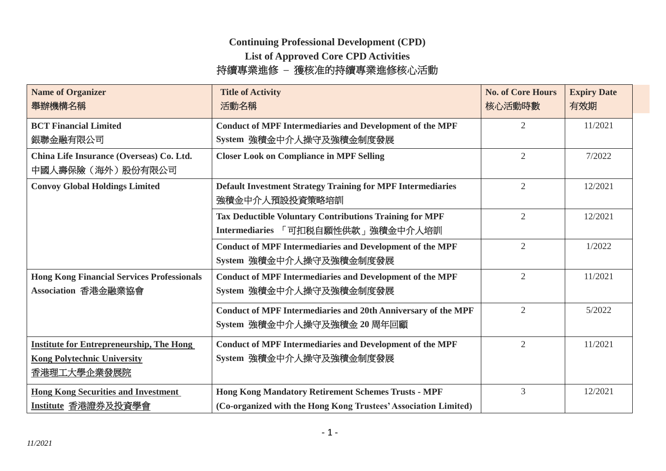## **Continuing Professional Development (CPD)**

**List of Approved Core CPD Activities** 

## 持續專業進修 **–** 獲核准的持續專業進修核心活動

| <b>Name of Organizer</b><br>舉辦機構名稱                                                                   | <b>Title of Activity</b><br>活動名稱                                                                                              | <b>No. of Core Hours</b><br>核心活動時數 | <b>Expiry Date</b><br>有效期 |
|------------------------------------------------------------------------------------------------------|-------------------------------------------------------------------------------------------------------------------------------|------------------------------------|---------------------------|
| <b>BCT Financial Limited</b><br>銀聯金融有限公司                                                             | <b>Conduct of MPF Intermediaries and Development of the MPF</b><br>System 強積金中介人操守及強積金制度發展                                    | $\overline{2}$                     | 11/2021                   |
| China Life Insurance (Overseas) Co. Ltd.<br>中國人壽保險(海外)股份有限公司                                         | <b>Closer Look on Compliance in MPF Selling</b>                                                                               | $\overline{2}$                     | 7/2022                    |
| <b>Convoy Global Holdings Limited</b>                                                                | <b>Default Investment Strategy Training for MPF Intermediaries</b><br>強積金中介人預設投資策略培訓                                          | $\overline{2}$                     | 12/2021                   |
|                                                                                                      | <b>Tax Deductible Voluntary Contributions Training for MPF</b><br>Intermediaries 「可扣税自願性供款」強積金中介人培訓                           | $\overline{2}$                     | 12/2021                   |
|                                                                                                      | <b>Conduct of MPF Intermediaries and Development of the MPF</b><br>System 強積金中介人操守及強積金制度發展                                    | $\overline{2}$                     | 1/2022                    |
| <b>Hong Kong Financial Services Professionals</b><br>Association 香港金融業協會                             | <b>Conduct of MPF Intermediaries and Development of the MPF</b><br>System 強積金中介人操守及強積金制度發展                                    | $\overline{2}$                     | 11/2021                   |
|                                                                                                      | <b>Conduct of MPF Intermediaries and 20th Anniversary of the MPF</b><br>System 強積金中介人操守及強積金 20 周年回顧                           | $\overline{2}$                     | 5/2022                    |
| <b>Institute for Entrepreneurship, The Hong</b><br><b>Kong Polytechnic University</b><br>香港理工大學企業發展院 | <b>Conduct of MPF Intermediaries and Development of the MPF</b><br>System 強積金中介人操守及強積金制度發展                                    | $\overline{2}$                     | 11/2021                   |
| <b>Hong Kong Securities and Investment</b><br><u>Institute 香港證券及投資學會</u>                             | <b>Hong Kong Mandatory Retirement Schemes Trusts - MPF</b><br>(Co-organized with the Hong Kong Trustees' Association Limited) | 3                                  | 12/2021                   |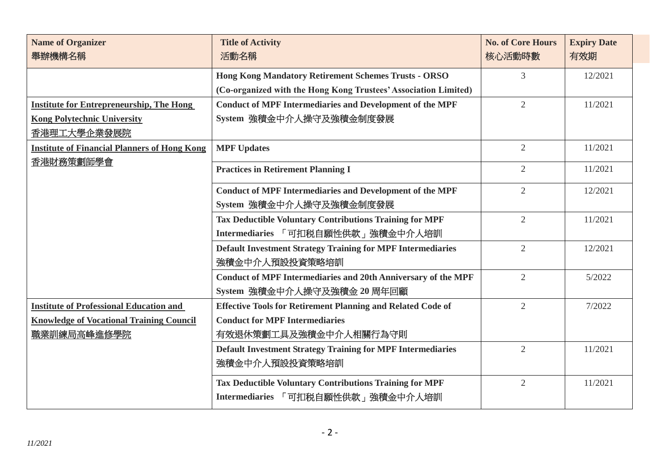| <b>Name of Organizer</b><br>舉辦機構名稱                               | <b>Title of Activity</b><br>活動名稱                                                                    | <b>No. of Core Hours</b><br>核心活動時數 | <b>Expiry Date</b><br>有效期 |
|------------------------------------------------------------------|-----------------------------------------------------------------------------------------------------|------------------------------------|---------------------------|
|                                                                  | <b>Hong Kong Mandatory Retirement Schemes Trusts - ORSO</b>                                         | 3                                  | 12/2021                   |
|                                                                  | (Co-organized with the Hong Kong Trustees' Association Limited)                                     |                                    |                           |
| <b>Institute for Entrepreneurship, The Hong</b>                  | <b>Conduct of MPF Intermediaries and Development of the MPF</b>                                     | $\overline{2}$                     | 11/2021                   |
| <b>Kong Polytechnic University</b>                               | System 強積金中介人操守及強積金制度發展                                                                             |                                    |                           |
| 香港理工大學企業發展院                                                      |                                                                                                     |                                    |                           |
| <b>Institute of Financial Planners of Hong Kong</b><br>香港財務策劃師學會 | <b>MPF Updates</b>                                                                                  | $\overline{2}$                     | 11/2021                   |
|                                                                  | <b>Practices in Retirement Planning I</b>                                                           | $\overline{2}$                     | 11/2021                   |
|                                                                  | <b>Conduct of MPF Intermediaries and Development of the MPF</b><br>System 強積金中介人操守及強積金制度發展          | $\overline{2}$                     | 12/2021                   |
|                                                                  |                                                                                                     | $\overline{2}$                     | 11/2021                   |
|                                                                  | <b>Tax Deductible Voluntary Contributions Training for MPF</b><br>Intermediaries 「可扣税自願性供款」強積金中介人培訓 |                                    |                           |
|                                                                  | <b>Default Investment Strategy Training for MPF Intermediaries</b><br>強積金中介人預設投資策略培訓                | $\overline{2}$                     | 12/2021                   |
|                                                                  | <b>Conduct of MPF Intermediaries and 20th Anniversary of the MPF</b><br>System 強積金中介人操守及強積金 20 周年回顧 | $\overline{2}$                     | 5/2022                    |
| <b>Institute of Professional Education and</b>                   | <b>Effective Tools for Retirement Planning and Related Code of</b>                                  | $\overline{2}$                     | 7/2022                    |
| <b>Knowledge of Vocational Training Council</b>                  | <b>Conduct for MPF Intermediaries</b>                                                               |                                    |                           |
| 職業訓練局高峰進修學院                                                      | 有效退休策劃工具及強積金中介人相關行為守則                                                                               |                                    |                           |
|                                                                  | <b>Default Investment Strategy Training for MPF Intermediaries</b><br>強積金中介人預設投資策略培訓                | $\overline{2}$                     | 11/2021                   |
|                                                                  | <b>Tax Deductible Voluntary Contributions Training for MPF</b><br>Intermediaries 「可扣税自願性供款」強積金中介人培訓 | $\overline{2}$                     | 11/2021                   |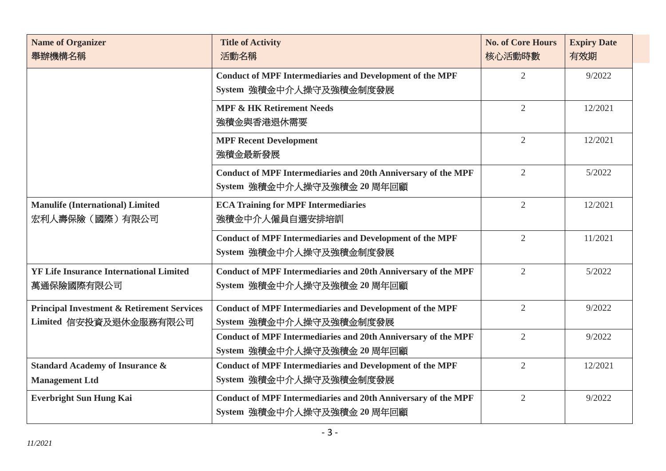| <b>Name of Organizer</b><br>舉辦機構名稱                                              | <b>Title of Activity</b><br>活動名稱                                                                    | <b>No. of Core Hours</b><br>核心活動時數 | <b>Expiry Date</b><br>有效期 |
|---------------------------------------------------------------------------------|-----------------------------------------------------------------------------------------------------|------------------------------------|---------------------------|
|                                                                                 | <b>Conduct of MPF Intermediaries and Development of the MPF</b><br>System 強積金中介人操守及強積金制度發展          | $\overline{2}$                     | 9/2022                    |
|                                                                                 | <b>MPF &amp; HK Retirement Needs</b><br>強積金與香港退休需要                                                  | $\overline{2}$                     | 12/2021                   |
|                                                                                 | <b>MPF Recent Development</b><br>強積金最新發展                                                            | $\overline{2}$                     | 12/2021                   |
|                                                                                 | <b>Conduct of MPF Intermediaries and 20th Anniversary of the MPF</b><br>System 強積金中介人操守及強積金 20 周年回顧 | $\overline{2}$                     | 5/2022                    |
| <b>Manulife (International) Limited</b><br>宏利人壽保險 (國際) 有限公司                     | <b>ECA Training for MPF Intermediaries</b><br>強積金中介人僱員自選安排培訓                                        | $\overline{2}$                     | 12/2021                   |
|                                                                                 | <b>Conduct of MPF Intermediaries and Development of the MPF</b><br>System 強積金中介人操守及強積金制度發展          | $\overline{2}$                     | 11/2021                   |
| <b>YF Life Insurance International Limited</b><br>萬通保險國際有限公司                    | <b>Conduct of MPF Intermediaries and 20th Anniversary of the MPF</b><br>System 強積金中介人操守及強積金 20 周年回顧 | $\overline{2}$                     | 5/2022                    |
| <b>Principal Investment &amp; Retirement Services</b><br>Limited 信安投資及退休金服務有限公司 | <b>Conduct of MPF Intermediaries and Development of the MPF</b><br>System 強積金中介人操守及強積金制度發展          | $\overline{2}$                     | 9/2022                    |
|                                                                                 | <b>Conduct of MPF Intermediaries and 20th Anniversary of the MPF</b><br>System 強積金中介人操守及強積金 20 周年回顧 | $\overline{2}$                     | 9/2022                    |
| <b>Standard Academy of Insurance &amp;</b><br><b>Management Ltd</b>             | <b>Conduct of MPF Intermediaries and Development of the MPF</b><br>System 強積金中介人操守及強積金制度發展          | $\overline{2}$                     | 12/2021                   |
| <b>Everbright Sun Hung Kai</b>                                                  | <b>Conduct of MPF Intermediaries and 20th Anniversary of the MPF</b><br>System 強積金中介人操守及強積金 20 周年回顧 | $\overline{2}$                     | 9/2022                    |